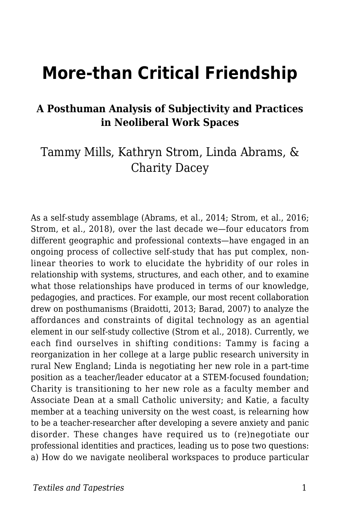# **More-than Critical Friendship**

#### **A Posthuman Analysis of Subjectivity and Practices in Neoliberal Work Spaces**

### Tammy Mills, Kathryn Strom, Linda Abrams, & Charity Dacey

As a self-study assemblage (Abrams, et al., 2014; Strom, et al., 2016; Strom, et al., 2018), over the last decade we—four educators from different geographic and professional contexts—have engaged in an ongoing process of collective self-study that has put complex, nonlinear theories to work to elucidate the hybridity of our roles in relationship with systems, structures, and each other, and to examine what those relationships have produced in terms of our knowledge, pedagogies, and practices. For example, our most recent collaboration drew on posthumanisms (Braidotti, 2013; Barad, 2007) to analyze the affordances and constraints of digital technology as an agential element in our self-study collective (Strom et al., 2018). Currently, we each find ourselves in shifting conditions: Tammy is facing a reorganization in her college at a large public research university in rural New England; Linda is negotiating her new role in a part-time position as a teacher/leader educator at a STEM-focused foundation; Charity is transitioning to her new role as a faculty member and Associate Dean at a small Catholic university; and Katie, a faculty member at a teaching university on the west coast, is relearning how to be a teacher-researcher after developing a severe anxiety and panic disorder. These changes have required us to (re)negotiate our professional identities and practices, leading us to pose two questions: a) How do we navigate neoliberal workspaces to produce particular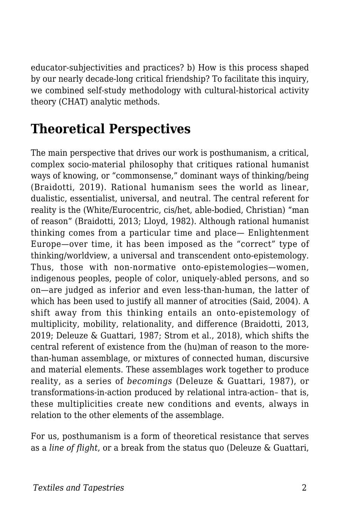educator-subjectivities and practices? b) How is this process shaped by our nearly decade-long critical friendship? To facilitate this inquiry, we combined self-study methodology with cultural-historical activity theory (CHAT) analytic methods.

## **Theoretical Perspectives**

The main perspective that drives our work is posthumanism, a critical, complex socio-material philosophy that critiques rational humanist ways of knowing, or "commonsense," dominant ways of thinking/being (Braidotti, 2019). Rational humanism sees the world as linear, dualistic, essentialist, universal, and neutral. The central referent for reality is the (White/Eurocentric, cis/het, able-bodied, Christian) "man of reason" (Braidotti, 2013; Lloyd, 1982). Although rational humanist thinking comes from a particular time and place— Enlightenment Europe—over time, it has been imposed as the "correct" type of thinking/worldview, a universal and transcendent onto-epistemology. Thus, those with non-normative onto-epistemologies—women, indigenous peoples, people of color, uniquely-abled persons, and so on—are judged as inferior and even less-than-human, the latter of which has been used to justify all manner of atrocities (Said, 2004). A shift away from this thinking entails an onto-epistemology of multiplicity, mobility, relationality, and difference (Braidotti, 2013, 2019; Deleuze & Guattari, 1987; Strom et al., 2018), which shifts the central referent of existence from the (hu)man of reason to the morethan-human assemblage, or mixtures of connected human, discursive and material elements. These assemblages work together to produce reality, as a series of *becomings* (Deleuze & Guattari, 1987), or transformations-in-action produced by relational intra-action– that is, these multiplicities create new conditions and events, always in relation to the other elements of the assemblage.

For us, posthumanism is a form of theoretical resistance that serves as a *line of flight*, or a break from the status quo (Deleuze & Guattari,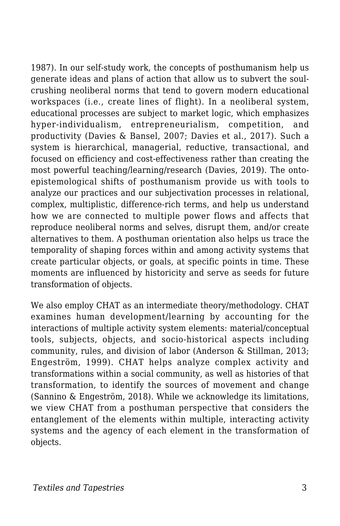1987). In our self-study work, the concepts of posthumanism help us generate ideas and plans of action that allow us to subvert the soulcrushing neoliberal norms that tend to govern modern educational workspaces (i.e., create lines of flight). In a neoliberal system, educational processes are subject to market logic, which emphasizes hyper-individualism, entrepreneurialism, competition, and productivity (Davies & Bansel, 2007; Davies et al., 2017). Such a system is hierarchical, managerial, reductive, transactional, and focused on efficiency and cost-effectiveness rather than creating the most powerful teaching/learning/research (Davies, 2019). The ontoepistemological shifts of posthumanism provide us with tools to analyze our practices and our subjectivation processes in relational, complex, multiplistic, difference-rich terms, and help us understand how we are connected to multiple power flows and affects that reproduce neoliberal norms and selves, disrupt them, and/or create alternatives to them. A posthuman orientation also helps us trace the temporality of shaping forces within and among activity systems that create particular objects, or goals, at specific points in time. These moments are influenced by historicity and serve as seeds for future transformation of objects.

We also employ CHAT as an intermediate theory/methodology. CHAT examines human development/learning by accounting for the interactions of multiple activity system elements: material/conceptual tools, subjects, objects, and socio-historical aspects including community, rules, and division of labor (Anderson & Stillman, 2013; Engeström, 1999). CHAT helps analyze complex activity and transformations within a social community, as well as histories of that transformation, to identify the sources of movement and change (Sannino & Engeström, 2018). While we acknowledge its limitations, we view CHAT from a posthuman perspective that considers the entanglement of the elements within multiple, interacting activity systems and the agency of each element in the transformation of objects.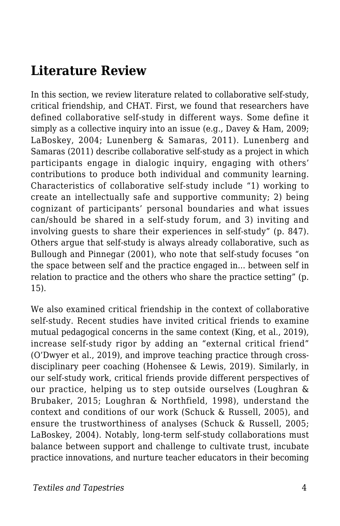### **Literature Review**

In this section, we review literature related to collaborative self-study, critical friendship, and CHAT. First, we found that researchers have defined collaborative self-study in different ways. Some define it simply as a collective inquiry into an issue (e.g., Davey & Ham, 2009; LaBoskey, 2004; Lunenberg & Samaras, 2011). Lunenberg and Samaras (2011) describe collaborative self-study as a project in which participants engage in dialogic inquiry, engaging with others' contributions to produce both individual and community learning. Characteristics of collaborative self-study include "1) working to create an intellectually safe and supportive community; 2) being cognizant of participants' personal boundaries and what issues can/should be shared in a self-study forum, and 3) inviting and involving guests to share their experiences in self-study" (p. 847). Others argue that self-study is always already collaborative, such as Bullough and Pinnegar (2001), who note that self-study focuses "on the space between self and the practice engaged in... between self in relation to practice and the others who share the practice setting" (p. 15).

We also examined critical friendship in the context of collaborative self-study. Recent studies have invited critical friends to examine mutual pedagogical concerns in the same context (King, et al., 2019), increase self-study rigor by adding an "external critical friend" (O'Dwyer et al., 2019), and improve teaching practice through crossdisciplinary peer coaching (Hohensee & Lewis, 2019). Similarly, in our self-study work, critical friends provide different perspectives of our practice, helping us to step outside ourselves (Loughran & Brubaker, 2015; Loughran & Northfield, 1998), understand the context and conditions of our work (Schuck & Russell, 2005), and ensure the trustworthiness of analyses (Schuck & Russell, 2005; LaBoskey, 2004). Notably, long-term self-study collaborations must balance between support and challenge to cultivate trust, incubate practice innovations, and nurture teacher educators in their becoming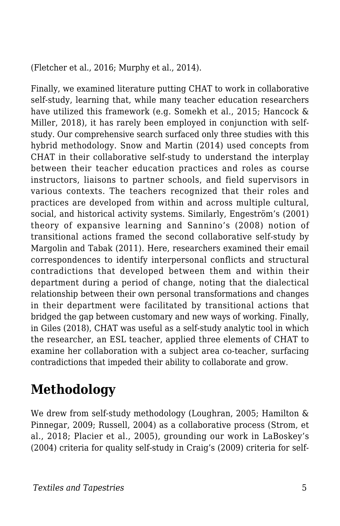(Fletcher et al., 2016; Murphy et al., 2014).

Finally, we examined literature putting CHAT to work in collaborative self-study, learning that, while many teacher education researchers have utilized this framework (e.g. Somekh et al., 2015; Hancock & Miller, 2018), it has rarely been employed in conjunction with selfstudy. Our comprehensive search surfaced only three studies with this hybrid methodology. Snow and Martin (2014) used concepts from CHAT in their collaborative self-study to understand the interplay between their teacher education practices and roles as course instructors, liaisons to partner schools, and field supervisors in various contexts. The teachers recognized that their roles and practices are developed from within and across multiple cultural, social, and historical activity systems. Similarly, Engeström's (2001) theory of expansive learning and Sannino's (2008) notion of transitional actions framed the second collaborative self-study by Margolin and Tabak (2011). Here, researchers examined their email correspondences to identify interpersonal conflicts and structural contradictions that developed between them and within their department during a period of change, noting that the dialectical relationship between their own personal transformations and changes in their department were facilitated by transitional actions that bridged the gap between customary and new ways of working. Finally, in Giles (2018), CHAT was useful as a self-study analytic tool in which the researcher, an ESL teacher, applied three elements of CHAT to examine her collaboration with a subject area co-teacher, surfacing contradictions that impeded their ability to collaborate and grow.

## **Methodology**

We drew from self-study methodology (Loughran, 2005; Hamilton & Pinnegar, 2009; Russell, 2004) as a collaborative process (Strom, et al., 2018; Placier et al., 2005), grounding our work in LaBoskey's (2004) criteria for quality self-study in Craig's (2009) criteria for self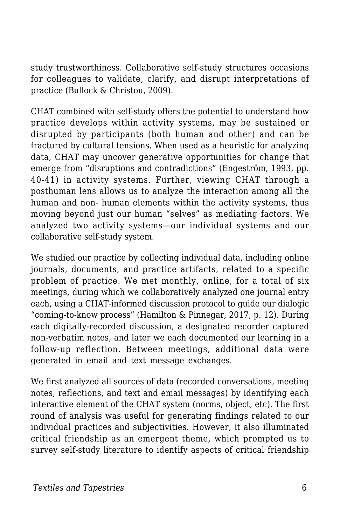study trustworthiness. Collaborative self-study structures occasions for colleagues to validate, clarify, and disrupt interpretations of practice (Bullock & Christou, 2009).

CHAT combined with self-study offers the potential to understand how practice develops within activity systems, may be sustained or disrupted by participants (both human and other) and can be fractured by cultural tensions. When used as a heuristic for analyzing data, CHAT may uncover generative opportunities for change that emerge from "disruptions and contradictions" (Engeström, 1993, pp. 40-41) in activity systems. Further, viewing CHAT through a posthuman lens allows us to analyze the interaction among all the human and non- human elements within the activity systems, thus moving beyond just our human "selves" as mediating factors. We analyzed two activity systems—our individual systems and our collaborative self-study system.

We studied our practice by collecting individual data, including online journals, documents, and practice artifacts, related to a specific problem of practice. We met monthly, online, for a total of six meetings, during which we collaboratively analyzed one journal entry each, using a CHAT-informed discussion protocol to guide our dialogic "coming-to-know process" (Hamilton & Pinnegar, 2017, p. 12). During each digitally-recorded discussion, a designated recorder captured non-verbatim notes, and later we each documented our learning in a follow-up reflection. Between meetings, additional data were generated in email and text message exchanges.

We first analyzed all sources of data (recorded conversations, meeting notes, reflections, and text and email messages) by identifying each interactive element of the CHAT system (norms, object, etc). The first round of analysis was useful for generating findings related to our individual practices and subjectivities. However, it also illuminated critical friendship as an emergent theme, which prompted us to survey self-study literature to identify aspects of critical friendship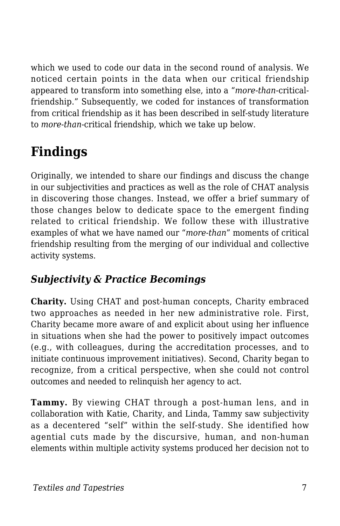which we used to code our data in the second round of analysis. We noticed certain points in the data when our critical friendship appeared to transform into something else, into a "*more-than*-criticalfriendship." Subsequently, we coded for instances of transformation from critical friendship as it has been described in self-study literature to *more-than*-critical friendship, which we take up below.

# **Findings**

Originally, we intended to share our findings and discuss the change in our subjectivities and practices as well as the role of CHAT analysis in discovering those changes. Instead, we offer a brief summary of those changes below to dedicate space to the emergent finding related to critical friendship. We follow these with illustrative examples of what we have named our "*more-than*" moments of critical friendship resulting from the merging of our individual and collective activity systems.

#### *Subjectivity & Practice Becomings*

**Charity.** Using CHAT and post-human concepts, Charity embraced two approaches as needed in her new administrative role. First, Charity became more aware of and explicit about using her influence in situations when she had the power to positively impact outcomes (e.g., with colleagues, during the accreditation processes, and to initiate continuous improvement initiatives). Second, Charity began to recognize, from a critical perspective, when she could not control outcomes and needed to relinquish her agency to act.

**Tammy.** By viewing CHAT through a post-human lens, and in collaboration with Katie, Charity, and Linda, Tammy saw subjectivity as a decentered "self" within the self-study. She identified how agential cuts made by the discursive, human, and non-human elements within multiple activity systems produced her decision not to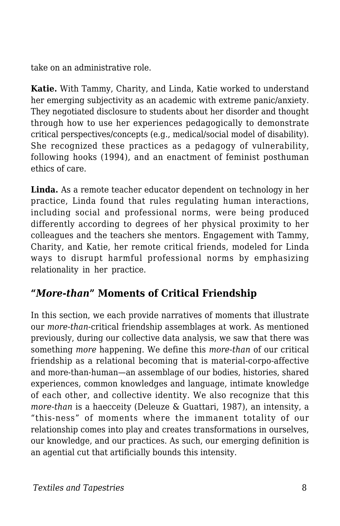take on an administrative role.

**Katie.** With Tammy, Charity, and Linda, Katie worked to understand her emerging subjectivity as an academic with extreme panic/anxiety. They negotiated disclosure to students about her disorder and thought through how to use her experiences pedagogically to demonstrate critical perspectives/concepts (e.g., medical/social model of disability). She recognized these practices as a pedagogy of vulnerability, following hooks (1994), and an enactment of feminist posthuman ethics of care.

**Linda.** As a remote teacher educator dependent on technology in her practice, Linda found that rules regulating human interactions, including social and professional norms, were being produced differently according to degrees of her physical proximity to her colleagues and the teachers she mentors. Engagement with Tammy, Charity, and Katie, her remote critical friends, modeled for Linda ways to disrupt harmful professional norms by emphasizing relationality in her practice.

#### **"***More-than***" Moments of Critical Friendship**

In this section, we each provide narratives of moments that illustrate our *more-than*-critical friendship assemblages at work. As mentioned previously, during our collective data analysis, we saw that there was something *more* happening. We define this *more-than* of our critical friendship as a relational becoming that is material-corpo-affective and more-than-human—an assemblage of our bodies, histories, shared experiences, common knowledges and language, intimate knowledge of each other, and collective identity. We also recognize that this *more-than* is a haecceity (Deleuze & Guattari, 1987), an intensity, a "this-ness" of moments where the immanent totality of our relationship comes into play and creates transformations in ourselves, our knowledge, and our practices. As such, our emerging definition is an agential cut that artificially bounds this intensity.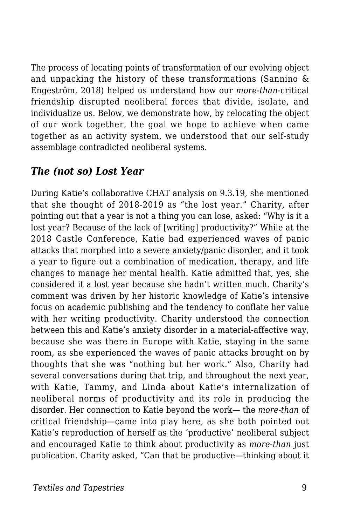The process of locating points of transformation of our evolving object and unpacking the history of these transformations (Sannino & Engeström, 2018) helped us understand how our *more-than*-critical friendship disrupted neoliberal forces that divide, isolate, and individualize us. Below, we demonstrate how, by relocating the object of our work together, the goal we hope to achieve when came together as an activity system, we understood that our self-study assemblage contradicted neoliberal systems.

#### *The (not so) Lost Year*

During Katie's collaborative CHAT analysis on 9.3.19, she mentioned that she thought of 2018-2019 as "the lost year." Charity, after pointing out that a year is not a thing you can lose, asked: "Why is it a lost year? Because of the lack of [writing] productivity?" While at the 2018 Castle Conference, Katie had experienced waves of panic attacks that morphed into a severe anxiety/panic disorder, and it took a year to figure out a combination of medication, therapy, and life changes to manage her mental health. Katie admitted that, yes, she considered it a lost year because she hadn't written much. Charity's comment was driven by her historic knowledge of Katie's intensive focus on academic publishing and the tendency to conflate her value with her writing productivity. Charity understood the connection between this and Katie's anxiety disorder in a material-affective way, because she was there in Europe with Katie, staying in the same room, as she experienced the waves of panic attacks brought on by thoughts that she was "nothing but her work." Also, Charity had several conversations during that trip, and throughout the next year, with Katie, Tammy, and Linda about Katie's internalization of neoliberal norms of productivity and its role in producing the disorder. Her connection to Katie beyond the work— the *more-than* of critical friendship—came into play here, as she both pointed out Katie's reproduction of herself as the 'productive' neoliberal subject and encouraged Katie to think about productivity as *more-than* just publication. Charity asked, "Can that be productive—thinking about it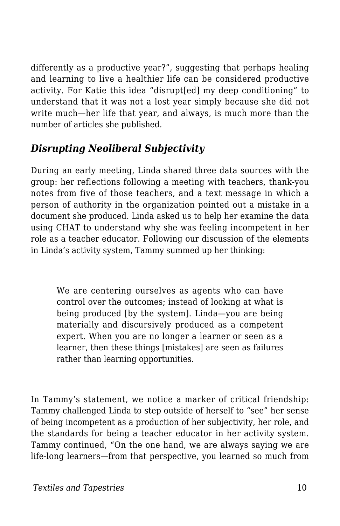differently as a productive year?", suggesting that perhaps healing and learning to live a healthier life can be considered productive activity. For Katie this idea "disrupt[ed] my deep conditioning" to understand that it was not a lost year simply because she did not write much—her life that year, and always, is much more than the number of articles she published.

#### *Disrupting Neoliberal Subjectivity*

During an early meeting, Linda shared three data sources with the group: her reflections following a meeting with teachers, thank-you notes from five of those teachers, and a text message in which a person of authority in the organization pointed out a mistake in a document she produced. Linda asked us to help her examine the data using CHAT to understand why she was feeling incompetent in her role as a teacher educator. Following our discussion of the elements in Linda's activity system, Tammy summed up her thinking:

We are centering ourselves as agents who can have control over the outcomes; instead of looking at what is being produced [by the system]. Linda—you are being materially and discursively produced as a competent expert. When you are no longer a learner or seen as a learner, then these things [mistakes] are seen as failures rather than learning opportunities.

In Tammy's statement, we notice a marker of critical friendship: Tammy challenged Linda to step outside of herself to "see" her sense of being incompetent as a production of her subjectivity, her role, and the standards for being a teacher educator in her activity system. Tammy continued, "On the one hand, we are always saying we are life-long learners—from that perspective, you learned so much from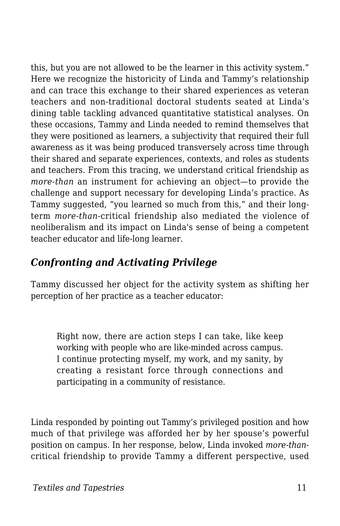this, but you are not allowed to be the learner in this activity system." Here we recognize the historicity of Linda and Tammy's relationship and can trace this exchange to their shared experiences as veteran teachers and non-traditional doctoral students seated at Linda's dining table tackling advanced quantitative statistical analyses. On these occasions, Tammy and Linda needed to remind themselves that they were positioned as learners, a subjectivity that required their full awareness as it was being produced transversely across time through their shared and separate experiences, contexts, and roles as students and teachers. From this tracing, we understand critical friendship as *more-than* an instrument for achieving an object—to provide the challenge and support necessary for developing Linda's practice. As Tammy suggested, "you learned so much from this," and their longterm *more-than*-critical friendship also mediated the violence of neoliberalism and its impact on Linda's sense of being a competent teacher educator and life-long learner.

#### *Confronting and Activating Privilege*

Tammy discussed her object for the activity system as shifting her perception of her practice as a teacher educator:

Right now, there are action steps I can take, like keep working with people who are like-minded across campus. I continue protecting myself, my work, and my sanity, by creating a resistant force through connections and participating in a community of resistance.

Linda responded by pointing out Tammy's privileged position and how much of that privilege was afforded her by her spouse's powerful position on campus. In her response, below, Linda invoked *more-than*critical friendship to provide Tammy a different perspective, used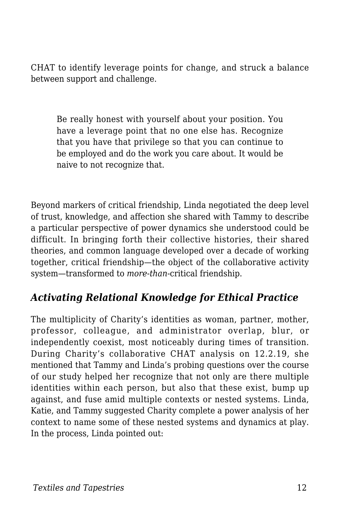CHAT to identify leverage points for change, and struck a balance between support and challenge.

Be really honest with yourself about your position. You have a leverage point that no one else has. Recognize that you have that privilege so that you can continue to be employed and do the work you care about. It would be naive to not recognize that.

Beyond markers of critical friendship, Linda negotiated the deep level of trust, knowledge, and affection she shared with Tammy to describe a particular perspective of power dynamics she understood could be difficult. In bringing forth their collective histories, their shared theories, and common language developed over a decade of working together, critical friendship—the object of the collaborative activity system—transformed to *more-than*-critical friendship.

#### *Activating Relational Knowledge for Ethical Practice*

The multiplicity of Charity's identities as woman, partner, mother, professor, colleague, and administrator overlap, blur, or independently coexist, most noticeably during times of transition. During Charity's collaborative CHAT analysis on 12.2.19, she mentioned that Tammy and Linda's probing questions over the course of our study helped her recognize that not only are there multiple identities within each person, but also that these exist, bump up against, and fuse amid multiple contexts or nested systems. Linda, Katie, and Tammy suggested Charity complete a power analysis of her context to name some of these nested systems and dynamics at play. In the process, Linda pointed out: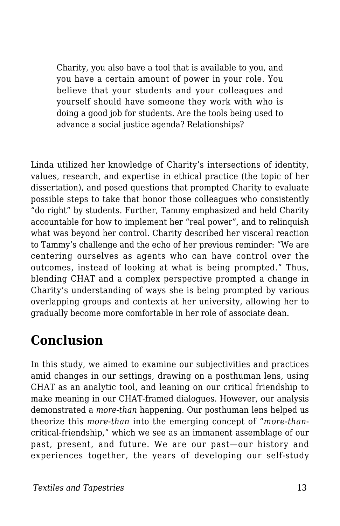Charity, you also have a tool that is available to you, and you have a certain amount of power in your role. You believe that your students and your colleagues and yourself should have someone they work with who is doing a good job for students. Are the tools being used to advance a social justice agenda? Relationships?

Linda utilized her knowledge of Charity's intersections of identity, values, research, and expertise in ethical practice (the topic of her dissertation), and posed questions that prompted Charity to evaluate possible steps to take that honor those colleagues who consistently "do right" by students. Further, Tammy emphasized and held Charity accountable for how to implement her "real power", and to relinquish what was beyond her control. Charity described her visceral reaction to Tammy's challenge and the echo of her previous reminder: "We are centering ourselves as agents who can have control over the outcomes, instead of looking at what is being prompted." Thus, blending CHAT and a complex perspective prompted a change in Charity's understanding of ways she is being prompted by various overlapping groups and contexts at her university, allowing her to gradually become more comfortable in her role of associate dean.

### **Conclusion**

In this study, we aimed to examine our subjectivities and practices amid changes in our settings, drawing on a posthuman lens, using CHAT as an analytic tool, and leaning on our critical friendship to make meaning in our CHAT-framed dialogues. However, our analysis demonstrated a *more-than* happening. Our posthuman lens helped us theorize this *more-than* into the emerging concept of "*more-than*critical-friendship," which we see as an immanent assemblage of our past, present, and future. We are our past—our history and experiences together, the years of developing our self-study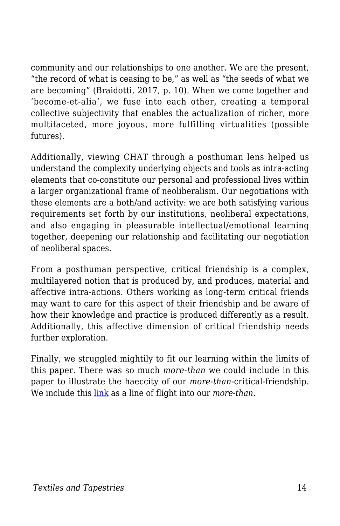community and our relationships to one another. We are the present, "the record of what is ceasing to be," as well as "the seeds of what we are becoming" (Braidotti, 2017, p. 10). When we come together and 'become-et-alia', we fuse into each other, creating a temporal collective subjectivity that enables the actualization of richer, more multifaceted, more joyous, more fulfilling virtualities (possible futures).

Additionally, viewing CHAT through a posthuman lens helped us understand the complexity underlying objects and tools as intra-acting elements that co-constitute our personal and professional lives within a larger organizational frame of neoliberalism. Our negotiations with these elements are a both/and activity: we are both satisfying various requirements set forth by our institutions, neoliberal expectations, and also engaging in pleasurable intellectual/emotional learning together, deepening our relationship and facilitating our negotiation of neoliberal spaces.

From a posthuman perspective, critical friendship is a complex, multilayered notion that is produced by, and produces, material and affective intra-actions. Others working as long-term critical friends may want to care for this aspect of their friendship and be aware of how their knowledge and practice is produced differently as a result. Additionally, this affective dimension of critical friendship needs further exploration.

Finally, we struggled mightily to fit our learning within the limits of this paper. There was so much *more-than* we could include in this paper to illustrate the haeccity of our *more-than*-critical-friendship. We include this [link](https://docs.google.com/document/d/1LtH0KZ9MGTg43Tu0oDO91HWrr9x55ufEsv8jWD_gIUs/edit) as a line of flight into our *more-than*.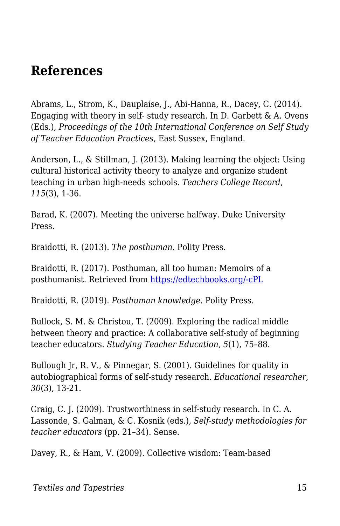### **References**

Abrams, L., Strom, K., Dauplaise, J., Abi-Hanna, R., Dacey, C. (2014). Engaging with theory in self- study research. In D. Garbett  $\&$  A. Ovens (Eds.), *Proceedings of the 10th International Conference on Self Study of Teacher Education Practices*, East Sussex, England.

Anderson, L., & Stillman, J. (2013). Making learning the object: Using cultural historical activity theory to analyze and organize student teaching in urban high-needs schools. *Teachers College Record*, *115*(3), 1-36.

Barad, K. (2007). Meeting the universe halfway. Duke University Press.

Braidotti, R. (2013). *The posthuman.* Polity Press.

Braidotti, R. (2017). Posthuman, all too human: Memoirs of a posthumanist. Retrieved from [https://edtechbooks.org/-cPL](https://tannerlectures.utah.edu/Manuscript%20for%20Tanners%20Foundation%20Final%20Oct%201.pdf)

Braidotti, R. (2019). *Posthuman knowledge*. Polity Press.

Bullock, S. M. & Christou, T. (2009). Exploring the radical middle between theory and practice: A collaborative self-study of beginning teacher educators. *Studying Teacher Education, 5*(1), 75–88.

Bullough Jr, R. V., & Pinnegar, S. (2001). Guidelines for quality in autobiographical forms of self-study research. *Educational researcher*, *30*(3), 13-21.

Craig, C. J. (2009). Trustworthiness in self-study research. In C. A. Lassonde, S. Galman, & C. Kosnik (eds.)*, Self-study methodologies for teacher educators* (pp. 21–34). Sense.

Davey, R., & Ham, V. (2009). Collective wisdom: Team-based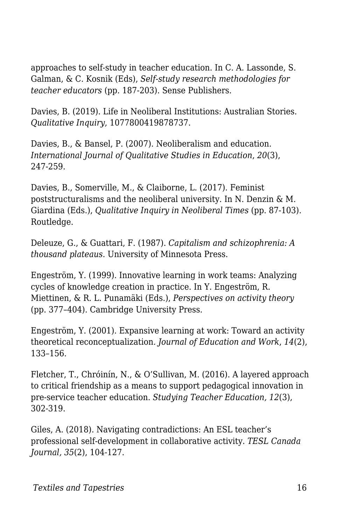approaches to self-study in teacher education. In C. A. Lassonde, S. Galman, & C. Kosnik (Eds), *Self-study research methodologies for teacher educators* (pp. 187-203). Sense Publishers.

Davies, B. (2019). Life in Neoliberal Institutions: Australian Stories. *Qualitative Inquiry*, 1077800419878737.

Davies, B., & Bansel, P. (2007). Neoliberalism and education. *International Journal of Qualitative Studies in Education*, *20*(3), 247-259.

Davies, B., Somerville, M., & Claiborne, L. (2017). Feminist poststructuralisms and the neoliberal university. In N. Denzin & M. Giardina (Eds.), *Qualitative Inquiry in Neoliberal Times* (pp. 87-103). Routledge.

Deleuze, G., & Guattari, F. (1987). *Capitalism and schizophrenia: A thousand plateaus.* University of Minnesota Press.

Engeström, Y. (1999). Innovative learning in work teams: Analyzing cycles of knowledge creation in practice. In Y. Engeström, R. Miettinen, & R. L. Punamäki (Eds.), *Perspectives on activity theory* (pp. 377–404). Cambridge University Press.

Engeström, Y. (2001). Expansive learning at work: Toward an activity theoretical reconceptualization*. Journal of Education and Work*, *14*(2), 133–156.

Fletcher, T., Chróinín, N., & O'Sullivan, M. (2016). A layered approach to critical friendship as a means to support pedagogical innovation in pre-service teacher education. *Studying Teacher Education, 12*(3), 302-319.

Giles, A. (2018). Navigating contradictions: An ESL teacher's professional self-development in collaborative activity. *TESL Canada Journal, 35*(2), 104-127.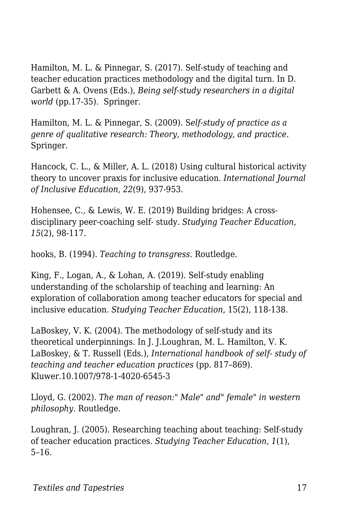Hamilton, M. L. & Pinnegar, S. (2017). Self-study of teaching and teacher education practices methodology and the digital turn. In D. Garbett & A. Ovens (Eds.), *Being self-study researchers in a digital world* (pp.17-35). Springer.

Hamilton, M. L. & Pinnegar, S. (2009). S*elf-study of practice as a genre of qualitative research: Theory, methodology, and practice.* Springer.

Hancock, C. L., & Miller, A. L. (2018) Using cultural historical activity theory to uncover praxis for inclusive education. *International Journal of Inclusive Education, 22*(9), 937-953.

Hohensee, C., & Lewis, W. E. (2019) Building bridges: A crossdisciplinary peer-coaching self- study. *Studying Teacher Education, 15*(2), 98-117.

hooks, B. (1994). *Teaching to transgress.* Routledge.

King, F., Logan, A., & Lohan, A. (2019). Self-study enabling understanding of the scholarship of teaching and learning: An exploration of collaboration among teacher educators for special and inclusive education. *Studying Teacher Education*, 15(2), 118-138.

LaBoskey, V. K. (2004). The methodology of self-study and its theoretical underpinnings. In J. J.Loughran, M. L. Hamilton, V. K. LaBoskey, & T. Russell (Eds.), *International handbook of self- study of teaching and teacher education practices* (pp. 817–869). Kluwer.10.1007/978-1-4020-6545-3

Lloyd, G. (2002). *The man of reason:" Male" and" female" in western philosophy*. Routledge.

Loughran, J. (2005). Researching teaching about teaching: Self-study of teacher education practices. *Studying Teacher Education, 1*(1), 5–16.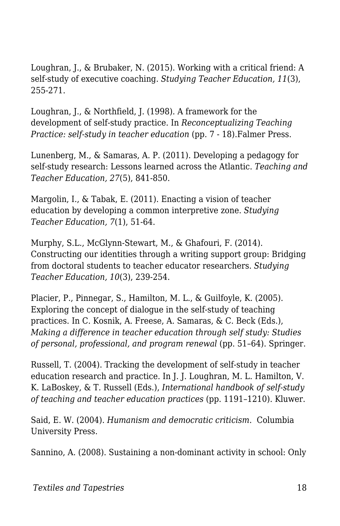Loughran, J., & Brubaker, N. (2015). Working with a critical friend: A self-study of executive coaching. *Studying Teacher Education, 11*(3), 255-271.

Loughran, J., & Northfield, J. (1998). A framework for the development of self-study practice. In *Reconceptualizing Teaching Practice: self-study in teacher education* (pp. 7 - 18).Falmer Press.

Lunenberg, M., & Samaras, A. P. (2011). Developing a pedagogy for self-study research: Lessons learned across the Atlantic. *Teaching and Teacher Education, 27*(5), 841-850.

Margolin, I., & Tabak, E. (2011). Enacting a vision of teacher education by developing a common interpretive zone. *Studying Teacher Education, 7*(1), 51-64.

Murphy, S.L., McGlynn-Stewart, M., & Ghafouri, F. (2014). Constructing our identities through a writing support group: Bridging from doctoral students to teacher educator researchers. *Studying Teacher Education, 10*(3), 239-254.

Placier, P., Pinnegar, S., Hamilton, M. L., & Guilfoyle, K. (2005). Exploring the concept of dialogue in the self-study of teaching practices. In C. Kosnik, A. Freese, A. Samaras, & C. Beck (Eds.), *Making a difference in teacher education through self study: Studies of personal, professional, and program renewal* (pp. 51–64). Springer.

Russell, T. (2004). Tracking the development of self-study in teacher education research and practice. In J. J. Loughran, M. L. Hamilton, V. K. LaBoskey, & T. Russell (Eds.), *International handbook of self-study of teaching and teacher education practices* (pp. 1191–1210). Kluwer.

Said, E. W. (2004). *Humanism and democratic criticism*. Columbia University Press.

Sannino, A. (2008). Sustaining a non-dominant activity in school: Only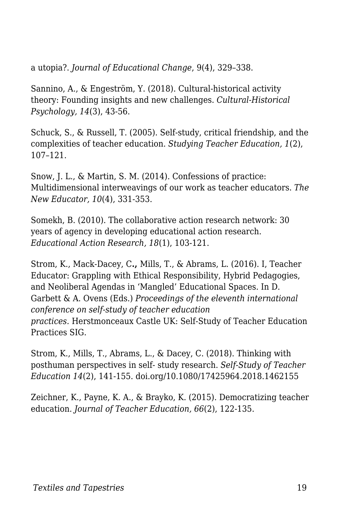a utopia?. *Journal of Educational Change*, 9(4), 329–338.

Sannino, A., & Engeström, Y. (2018). Cultural-historical activity theory: Founding insights and new challenges. *Cultural-Historical Psychology, 14*(3), 43-56.

Schuck, S., & Russell, T. (2005). Self-study, critical friendship, and the complexities of teacher education. *Studying Teacher Education, 1*(2), 107–121.

Snow, J. L., & Martin, S. M. (2014). Confessions of practice: Multidimensional interweavings of our work as teacher educators. *The New Educator, 10*(4), 331-353.

Somekh, B. (2010). The collaborative action research network: 30 years of agency in developing educational action research. *Educational Action Research, 18*(1), 103-121.

Strom, K., Mack-Dacey, C**.,** Mills, T., & Abrams, L. (2016). I, Teacher Educator: Grappling with Ethical Responsibility, Hybrid Pedagogies, and Neoliberal Agendas in 'Mangled' Educational Spaces. In D. Garbett & A. Ovens (Eds.) *Proceedings of the eleventh international conference on self-study of teacher education practices.* Herstmonceaux Castle UK: Self-Study of Teacher Education Practices SIG.

Strom, K., Mills, T., Abrams, L., & Dacey, C. (2018). Thinking with posthuman perspectives in self- study research. *Self-Study of Teacher Education 14*(2), 141-155. doi.org/10.1080/17425964.2018.1462155

Zeichner, K., Payne, K. A., & Brayko, K. (2015). Democratizing teacher education. *Journal of Teacher Education, 66*(2), 122-135.